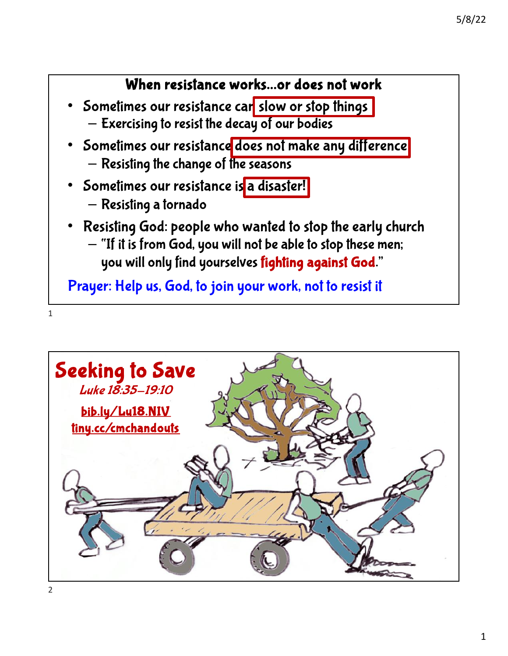

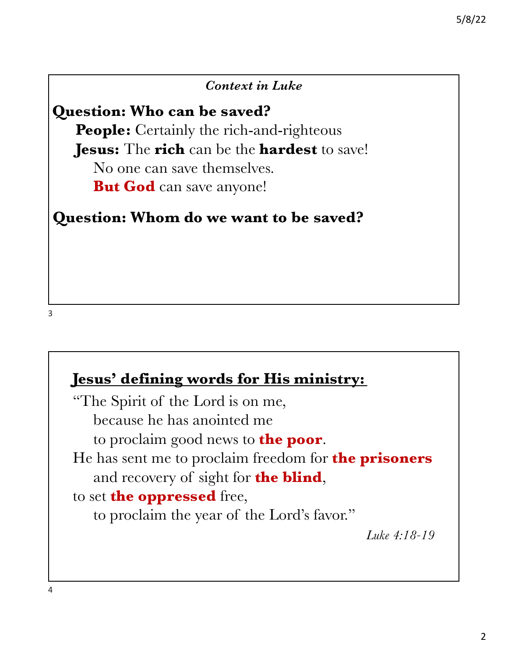#### *Context in Luke*

**Question: Who can be saved?**

**People:** Certainly the rich-and-righteous **Jesus:** The **rich** can be the **hardest** to save! No one can save themselves. **But God** can save anyone!

### **Question: Whom do we want to be saved?**

3

# **Jesus' defining words for His ministry:**

"The Spirit of the Lord is on me, because he has anointed me to proclaim good news to **the poor**. He has sent me to proclaim freedom for **the prisoners** and recovery of sight for **the blind**, to set **the oppressed** free, to proclaim the year of the Lord's favor." *Luke 4:18-19*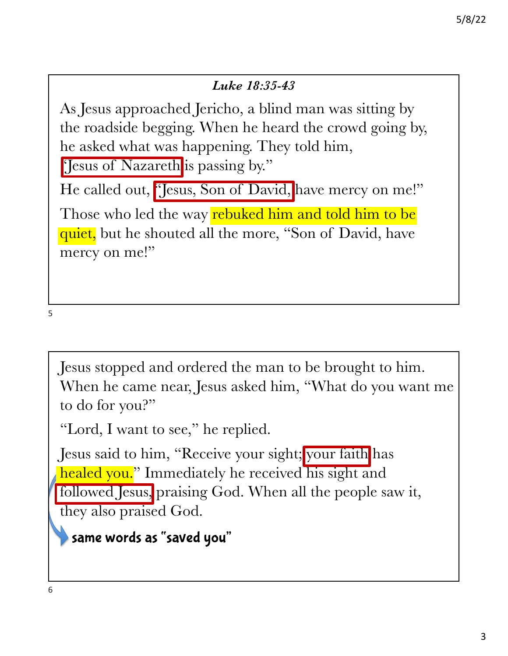### *Luke 18:35-43*

As Jesus approached Jericho, a blind man was sitting by the roadside begging. When he heard the crowd going by, he asked what was happening. They told him,

"Jesus of Nazareth is passing by."

He called out, [Jesus, Son of David, have mercy on me!"

Those who led the way rebuked him and told him to be quiet, but he shouted all the more, "Son of David, have mercy on me!"

5

Jesus stopped and ordered the man to be brought to him. When he came near, Jesus asked him, "What do you want me to do for you?"

"Lord, I want to see," he replied.

Jesus said to him, "Receive your sight; your faith has healed you." Immediately he received his sight and followed Jesus, praising God. When all the people saw it, they also praised God.

same words as "saved you"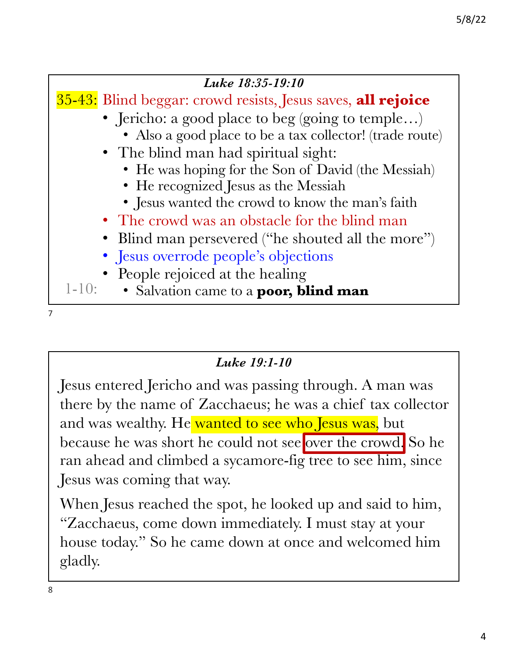

*Luke 19:1-10*

Jesus entered Jericho and was passing through. A man was there by the name of Zacchaeus; he was a chief tax collector and was wealthy. He wanted to see who Jesus was, but because he was short he could not see over the crowd. So he ran ahead and climbed a sycamore-fig tree to see him, since Jesus was coming that way.

When Jesus reached the spot, he looked up and said to him, "Zacchaeus, come down immediately. I must stay at your house today." So he came down at once and welcomed him gladly.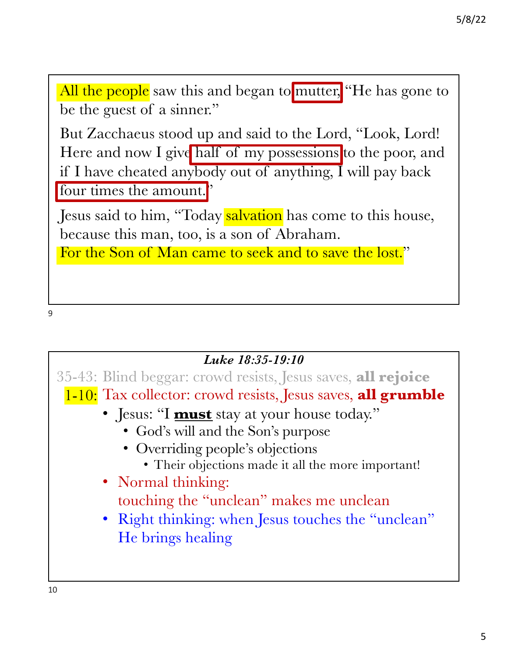| All the people saw this and began to mutter, "He has gone to<br>be the guest of a sinner."                                                                                                                                |
|---------------------------------------------------------------------------------------------------------------------------------------------------------------------------------------------------------------------------|
| But Zacchaeus stood up and said to the Lord, "Look, Lord!<br>Here and now I give half of my possessions to the poor, and<br>if I have cheated anybody out of anything, $\bar{I}$ will pay back<br>four times the amount." |
| Jesus said to him, "Today salvation has come to this house,                                                                                                                                                               |
| because this man, too, is a son of Abraham.<br>For the Son of Man came to seek and to save the lost."                                                                                                                     |
|                                                                                                                                                                                                                           |

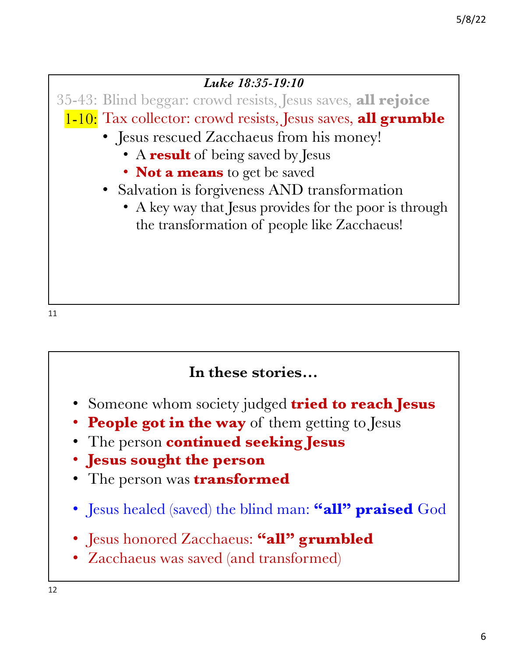

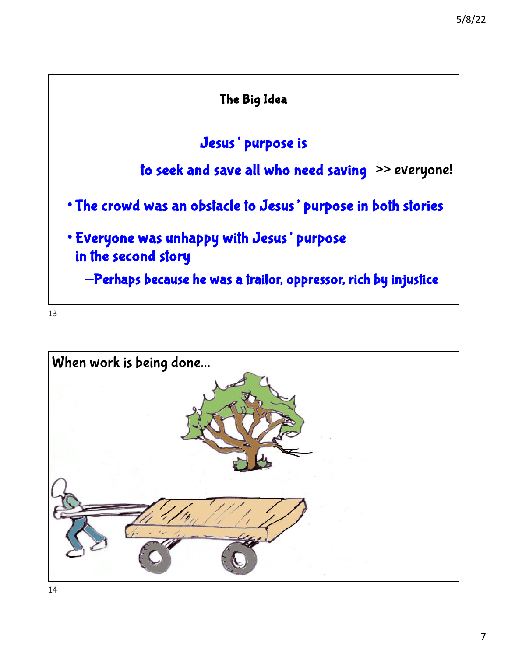

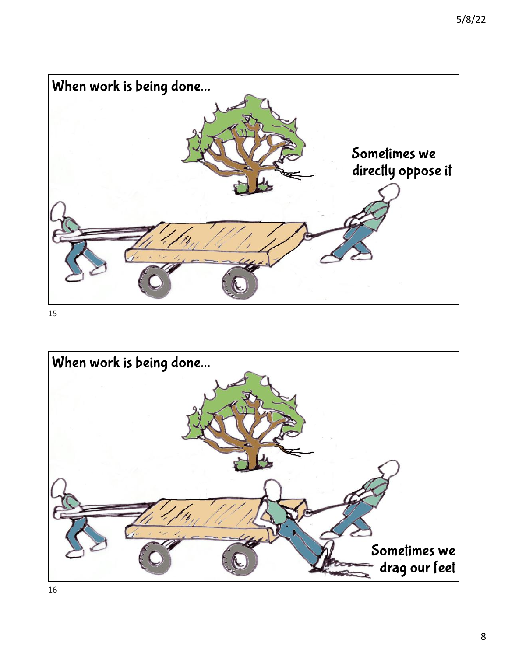

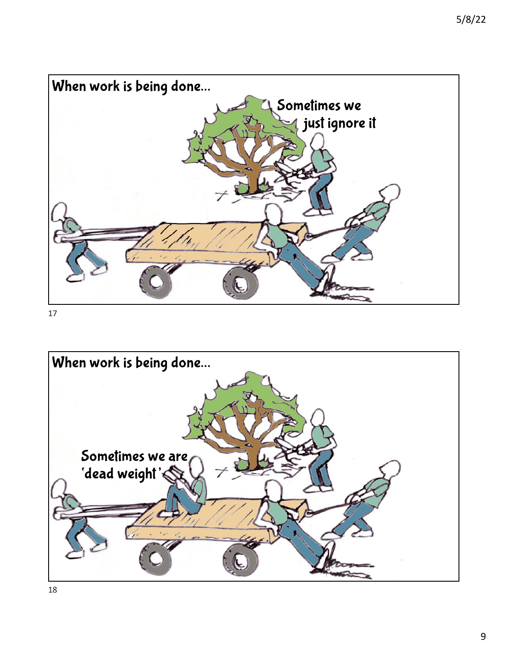

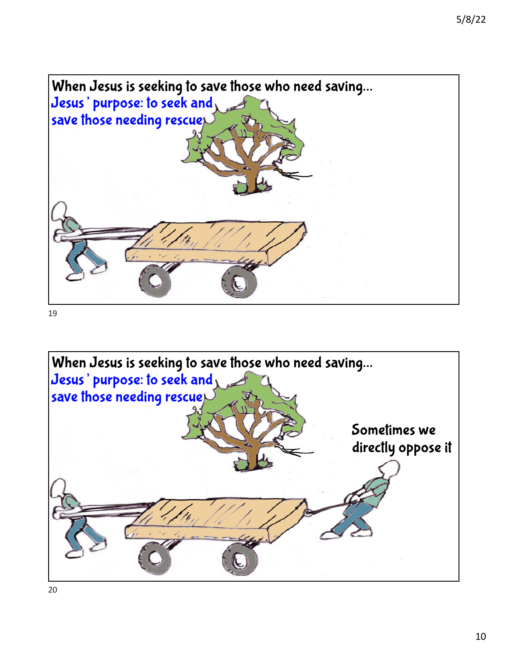

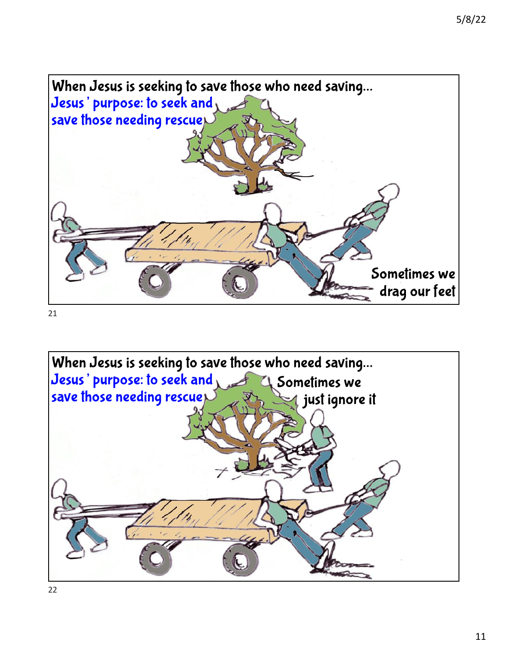

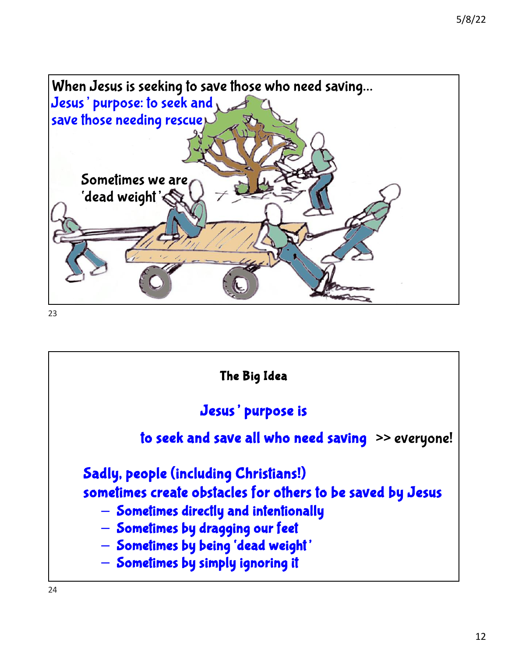

The Big Idea Jesus' purpose is to seek and save all who need saving >> everyone! Sadly, people (including Christians!) sometimes create obstacles for others to be saved by Jesus – Sometimes directly and intentionally – Sometimes by dragging our feet – Sometimes by being 'dead weight' – Sometimes by simply ignoring it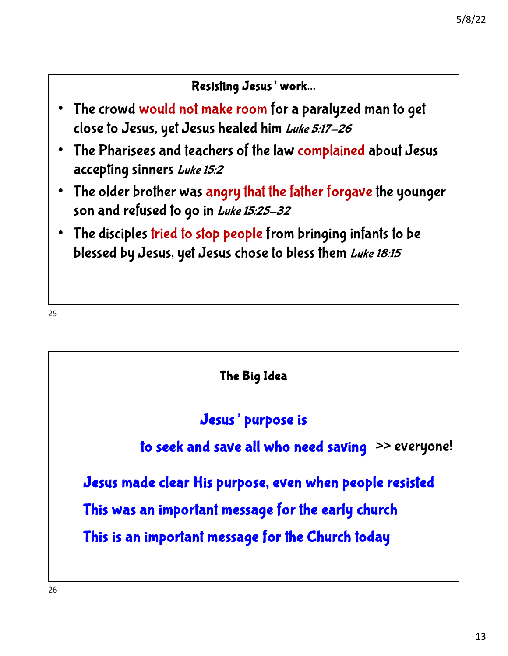#### Resisting Jesus' work…

- The crowd would not make room for a paralyzed man to get close to Jesus, yet Jesus healed him Luke 5:17-26
- The Pharisees and teachers of the law complained about Jesus accepting sinners Luke 15:2
- The older brother was angry that the father forgave the younger son and refused to go in Luke 15:25-32
- The disciples tried to stop people from bringing infants to be blessed by Jesus, yet Jesus chose to bless them Luke 18:15

25

The Big Idea

# Jesus' purpose is

to seek and save all who need saving >> everyone!

Jesus made clear His purpose, even when people resisted

This was an important message for the early church

This is an important message for the Church today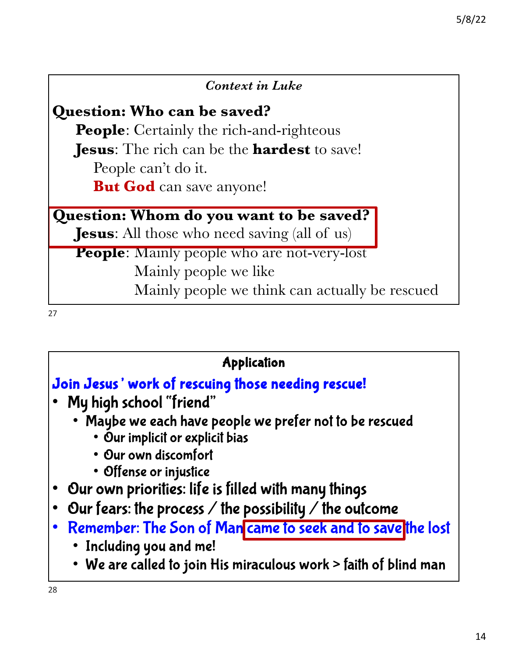### *Context in Luke*

**Question: Who can be saved?**

**People:** Certainly the rich-and-righteous **Jesus**: The rich can be the **hardest** to save! People can't do it. **But God** can save anyone!

**Question: Whom do you want to be saved?**

**Jesus:** All those who need saving (all of us)

**People**: Mainly people who are not-very-lost Mainly people we like

Mainly people we think can actually be rescued

27

### Application

### Join Jesus' work of rescuing those needing rescue!

- My high school "friend"
	- Maybe we each have people we prefer not to be rescued
		- Our implicit or explicit bias
		- Our own discomfort
		- Offense or injustice
- Our own priorities: life is filled with many things
- Our fears: the process  $\angle$  the possibility  $\angle$  the outcome
- Remember: The Son of Man came to seek and to save the lost
	- Including you and me!
	- We are called to join His miraculous work > faith of blind man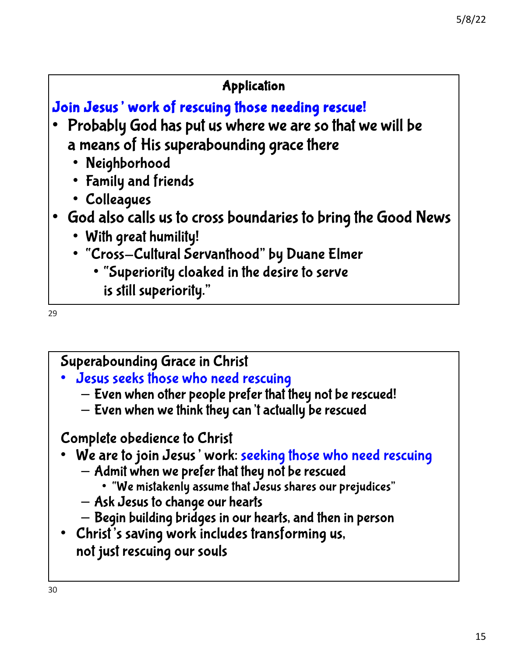### Application

Join Jesus' work of rescuing those needing rescue!

- Probably God has put us where we are so that we will be a means of His superabounding grace there
	- Neighborhood
	- Family and friends
	- Colleagues
- God also calls us to cross boundaries to bring the Good News
	- With great humility!
	- "Cross-Cultural Servanthood" by Duane Elmer
		- "Superiority cloaked in the desire to serve is still superiority."

29

Superabounding Grace in Christ

- Jesus seeks those who need rescuing
	- Even when other people prefer that they not be rescued!
	- Even when we think they can't actually be rescued

Complete obedience to Christ

- We are to join Jesus' work: seeking those who need rescuing
	- Admit when we prefer that they not be rescued
		- "We mistakenly assume that Jesus shares our prejudices"
	- Ask Jesus to change our hearts
	- Begin building bridges in our hearts, and then in person
- Christ's saving work includes transforming us, not just rescuing our souls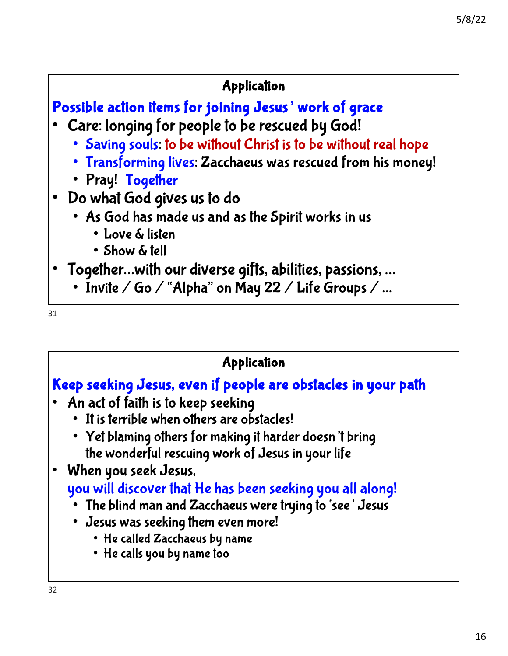### Application

Possible action items for joining Jesus' work of grace

- Care: longing for people to be rescued by God!
	- Saving souls: to be without Christ is to be without real hope
	- Transforming lives: Zacchaeus was rescued from his money!
	- Pray! Together
- Do what God gives us to do
	- As God has made us and as the Spirit works in us
		- Love & listen
		- Show & tell
- Together…with our diverse gifts, abilities, passions, …
	- Invite / Go / "Alpha" on May 22 / Life Groups / …

31

### Application

# Keep seeking Jesus, even if people are obstacles in your path

- An act of faith is to keep seeking
	- It is terrible when others are obstacles!
	- Yet blaming others for making it harder doesn't bring the wonderful rescuing work of Jesus in your life
- When you seek Jesus,

you will discover that He has been seeking you all along!

- The blind man and Zacchaeus were trying to 'see' Jesus
- Jesus was seeking them even more!
	- He called Zacchaeus by name
	- He calls you by name too